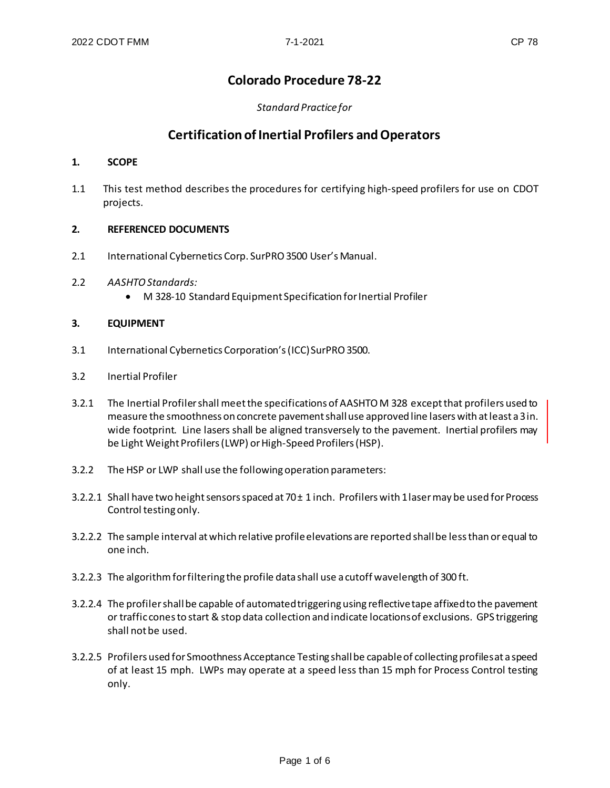# **Colorado Procedure 78-22**

# *Standard Practice for*

# **Certification of Inertial Profilers and Operators**

#### **1. SCOPE**

1.1 This test method describes the procedures for certifying high-speed profilers for use on CDOT projects.

# **2. REFERENCED DOCUMENTS**

- 2.1 International Cybernetics Corp. SurPRO 3500 User's Manual.
- 2.2 *AASHTO Standards:*
	- M 328-10 Standard Equipment Specification for Inertial Profiler

# **3. EQUIPMENT**

- 3.1 International Cybernetics Corporation's (ICC) SurPRO 3500.
- 3.2 Inertial Profiler
- 3.2.1 The Inertial Profiler shall meet the specifications of AASHTO M 328 except that profilers used to measure the smoothness on concrete pavement shalluse approved line lasers with at least a 3 in. wide footprint. Line lasers shall be aligned transversely to the pavement. Inertial profilers may be Light Weight Profilers (LWP) or High-Speed Profilers (HSP).
- 3.2.2 The HSP or LWP shall use the following operation parameters:
- 3.2.2.1 Shall have two height sensorsspaced at 70± 1 inch. Profilers with 1 laser may be used for Process Control testing only.
- 3.2.2.2 The sample interval at which relative profile elevations are reported shall be less than or equal to one inch.
- 3.2.2.3 The algorithm for filtering the profile data shall use a cutoff wavelength of 300 ft.
- 3.2.2.4 The profiler shall be capable of automated triggering using reflective tape affixed to the pavement or traffic conesto start & stop data collection and indicate locations of exclusions. GPS triggering shall not be used.
- 3.2.2.5 Profilers used for Smoothness Acceptance Testing shall be capable of collecting profiles at a speed of at least 15 mph. LWPs may operate at a speed less than 15 mph for Process Control testing only.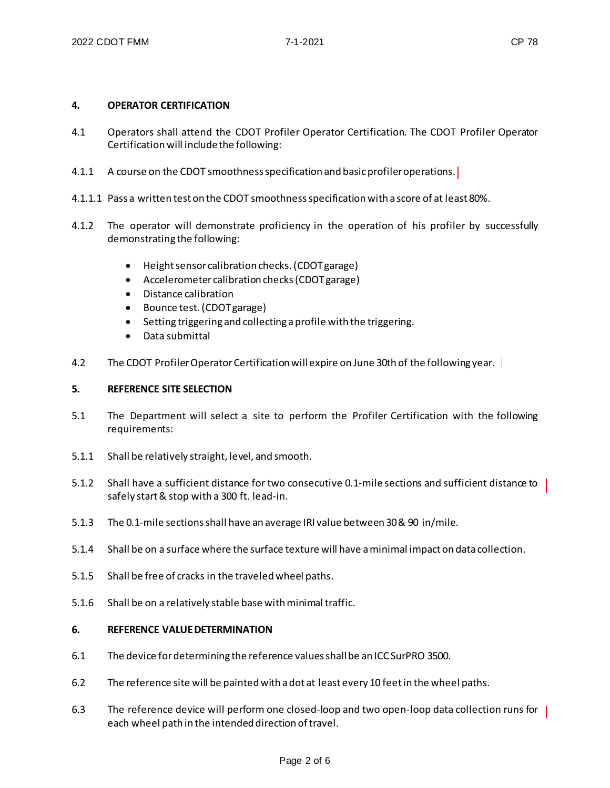#### **4. OPERATOR CERTIFICATION**

- 4.1 Operators shall attend the CDOT Profiler Operator Certification. The CDOT Profiler Operator Certification will include the following:
- 4.1.1 A course on the CDOT smoothness specification and basic profiler operations.
- 4.1.1.1 Pass a written test on the CDOT smoothness specification with a score of at least 80%.
- 4.1.2 The operator will demonstrate proficiency in the operation of his profiler by successfully demonstrating the following:
	- Height sensor calibration checks.(CDOT garage)
	- Accelerometer calibration checks(CDOT garage)
	- Distance calibration
	- Bounce test.(CDOT garage)
	- Setting triggering and collecting a profile with the triggering.
	- Data submittal
- 4.2 The CDOT Profiler Operator Certification will expire on June 30th of the following year.

#### **5. REFERENCE SITE SELECTION**

- 5.1 The Department will select a site to perform the Profiler Certification with the following requirements:
- 5.1.1 Shall be relatively straight, level, and smooth.
- 5.1.2 Shall have a sufficient distance for two consecutive 0.1-mile sections and sufficient distance to safely start & stop with a 300 ft. lead-in.
- 5.1.3 The 0.1-mile sections shall have an average IRI value between 30 & 90 in/mile.
- 5.1.4 Shall be on a surface where the surface texture will have a minimal impact on data collection.
- 5.1.5 Shall be free of cracks in the traveled wheel paths.
- 5.1.6 Shall be on a relatively stable base with minimal traffic.

#### **6. REFERENCE VALUE DETERMINATION**

- 6.1 The device for determining the reference values shall be an ICC SurPRO 3500.
- 6.2 The reference site will be painted with a dot at least every 10 feet in the wheel paths.
- 6.3 The reference device will perform one closed-loop and two open-loop data collection runs for | each wheel path in the intended direction of travel.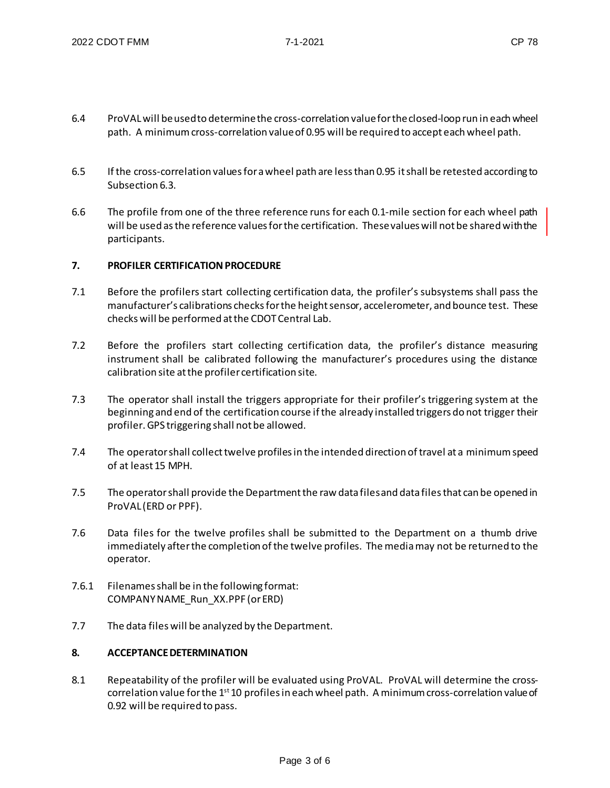- 6.4 ProVAL will be used to determine the cross-correlation value for the closed-loop run in each wheel path. A minimum cross-correlation value of 0.95 will be required to accept each wheel path.
- 6.5 If the cross-correlation values for a wheel path are less than 0.95 it shall be retested according to Subsection 6.3.
- 6.6 The profile from one of the three reference runs for each 0.1-mile section for each wheel path will be used as the reference values for the certification. These values will not be shared with the participants.

# **7. PROFILER CERTIFICATION PROCEDURE**

- 7.1 Before the profilers start collecting certification data, the profiler's subsystems shall pass the manufacturer's calibrations checks for the height sensor, accelerometer, and bounce test. These checks will be performed at the CDOT Central Lab.
- 7.2 Before the profilers start collecting certification data, the profiler's distance measuring instrument shall be calibrated following the manufacturer's procedures using the distance calibration site at the profiler certification site.
- 7.3 The operator shall install the triggers appropriate for their profiler's triggering system at the beginning and end of the certification course if the already installed triggers do not trigger their profiler. GPS triggering shall not be allowed.
- 7.4 The operator shall collect twelve profilesin the intended direction of travel at a minimum speed of at least 15 MPH.
- 7.5 The operator shall provide the Department the raw data filesand data files that can be opened in ProVAL (ERD or PPF).
- 7.6 Data files for the twelve profiles shall be submitted to the Department on a thumb drive immediately after the completion of the twelve profiles. The media may not be returned to the operator.
- 7.6.1 Filenames shall be in the following format: COMPANYNAME\_Run\_XX.PPF (or ERD)
- 7.7 The data files will be analyzed by the Department.

### **8. ACCEPTANCE DETERMINATION**

8.1 Repeatability of the profiler will be evaluated using ProVAL. ProVAL will determine the crosscorrelation value for the  $1<sup>st</sup>10$  profiles in each wheel path. A minimum cross-correlation value of 0.92 will be required to pass.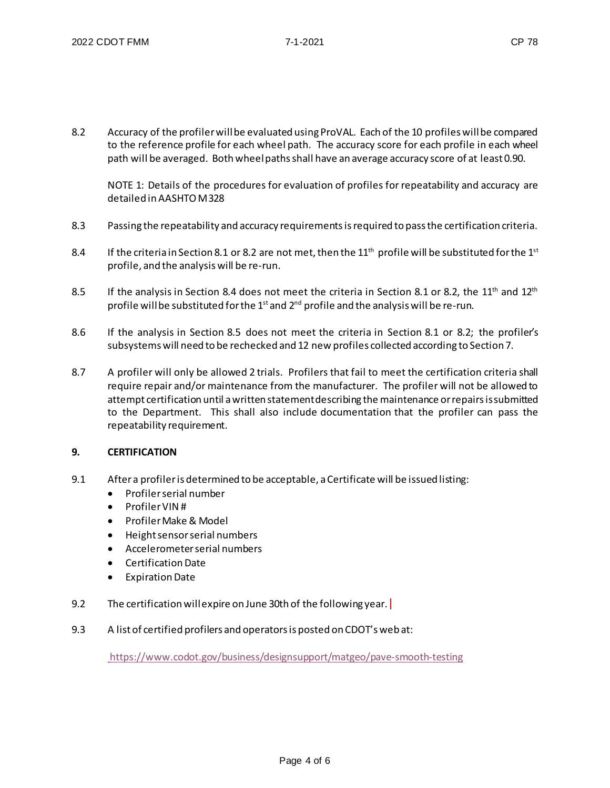8.2 Accuracy of the profiler will be evaluated using ProVAL. Each of the 10 profiles will be compared to the reference profile for each wheel path. The accuracy score for each profile in each wheel path will be averaged. Both wheel pathsshall have an average accuracy score of at least 0.90.

NOTE 1: Details of the procedures for evaluation of profiles for repeatability and accuracy are detailed in AASHTO M 328

- 8.3 Passing the repeatability and accuracy requirements is required to pass the certification criteria.
- 8.4 If the criteria in Section 8.1 or 8.2 are not met, then the  $11<sup>th</sup>$  profile will be substituted for the  $1<sup>st</sup>$ profile, and the analysis will be re-run.
- 8.5 If the analysis in Section 8.4 does not meet the criteria in Section 8.1 or 8.2, the 11<sup>th</sup> and 12<sup>th</sup> profile will be substituted for the  $1<sup>st</sup>$  and  $2<sup>nd</sup>$  profile and the analysis will be re-run.
- 8.6 If the analysis in Section 8.5 does not meet the criteria in Section 8.1 or 8.2; the profiler's subsystems will need to be rechecked and 12 new profiles collected according to Section 7.
- 8.7 A profiler will only be allowed 2 trials. Profilers that fail to meet the certification criteria shall require repair and/or maintenance from the manufacturer. The profiler will not be allowed to attempt certification until a written statement describing the maintenance or repairs is submitted to the Department. This shall also include documentation that the profiler can pass the repeatability requirement.

#### **9. CERTIFICATION**

- 9.1 After a profiler is determined to be acceptable, a Certificate will be issued listing:
	- Profiler serial number
	- ProfilerVIN #
	- ProfilerMake & Model
	- Height sensor serial numbers
	- Accelerometer serial numbers
	- Certification Date
	- Expiration Date
- 9.2 The certification will expire on June 30th of the following year.
- 9.3 A list of certified profilers and operatorsis posted on CDOT's web at:

<https://www.codot.gov/business/designsupport/matgeo/pave-smooth-testing>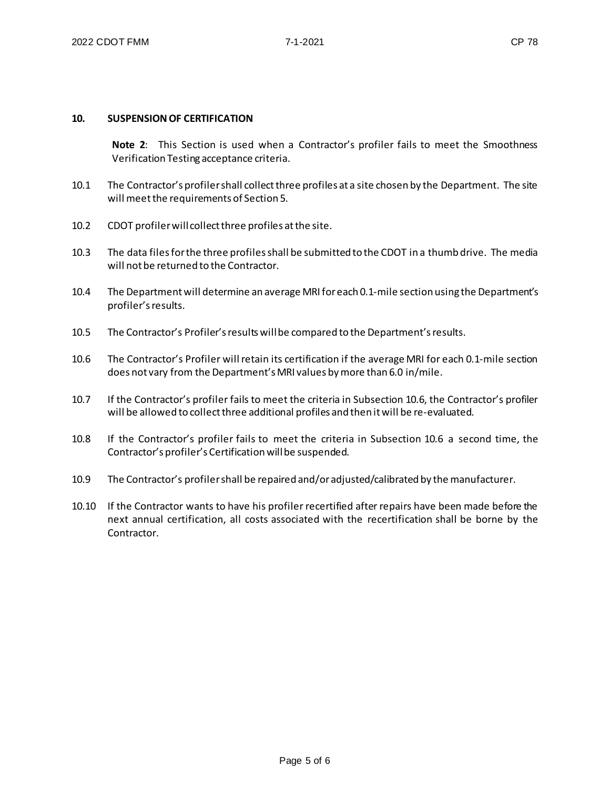#### **10. SUSPENSION OF CERTIFICATION**

**Note 2**: This Section is used when a Contractor's profiler fails to meet the Smoothness Verification Testing acceptance criteria.

- 10.1 The Contractor's profiler shall collect three profiles at a site chosen by the Department. The site will meet the requirements of Section 5.
- 10.2 CDOT profiler will collect three profiles at the site.
- 10.3 The data files for the three profiles shall be submitted to the CDOT in a thumb drive. The media will not be returned to the Contractor.
- 10.4 The Department will determine an average MRI for each 0.1-mile section using the Department's profiler's results.
- 10.5 The Contractor's Profiler's results will be compared to the Department's results.
- 10.6 The Contractor's Profiler will retain its certification if the average MRI for each 0.1-mile section does not vary from the Department's MRI values by more than 6.0 in/mile.
- 10.7 If the Contractor's profiler fails to meet the criteria in Subsection 10.6, the Contractor's profiler will be allowed to collect three additional profiles and then it will be re-evaluated.
- 10.8 If the Contractor's profiler fails to meet the criteria in Subsection 10.6 a second time, the Contractor's profiler's Certification will be suspended.
- 10.9 The Contractor's profiler shall be repaired and/or adjusted/calibrated by the manufacturer.
- 10.10 If the Contractor wants to have his profiler recertified after repairs have been made before the next annual certification, all costs associated with the recertification shall be borne by the Contractor.